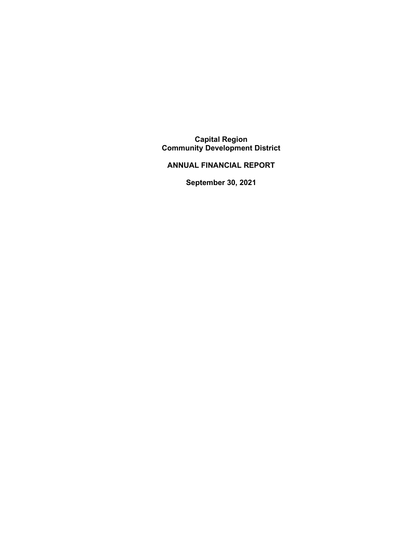**Capital Region Community Development District**

**ANNUAL FINANCIAL REPORT**

**September 30, 2021**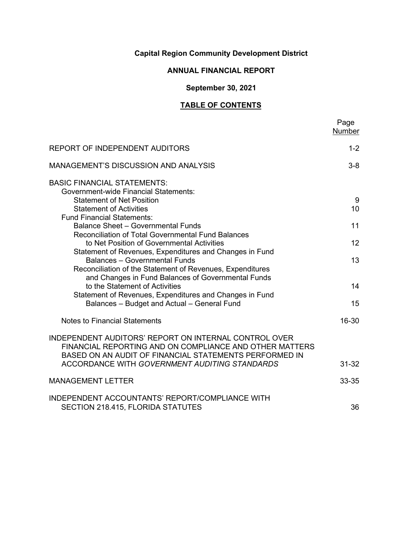# **Capital Region Community Development District**

# **ANNUAL FINANCIAL REPORT**

# **September 30, 2021**

# **TABLE OF CONTENTS**

|                                                                                                                         | Page<br>Number |
|-------------------------------------------------------------------------------------------------------------------------|----------------|
| <b>REPORT OF INDEPENDENT AUDITORS</b>                                                                                   | $1 - 2$        |
| <b>MANAGEMENT'S DISCUSSION AND ANALYSIS</b>                                                                             | $3 - 8$        |
| <b>BASIC FINANCIAL STATEMENTS:</b><br><b>Government-wide Financial Statements:</b>                                      |                |
| <b>Statement of Net Position</b>                                                                                        | 9              |
| <b>Statement of Activities</b><br><b>Fund Financial Statements:</b>                                                     | 10             |
| <b>Balance Sheet - Governmental Funds</b>                                                                               | 11             |
| Reconciliation of Total Governmental Fund Balances                                                                      |                |
| to Net Position of Governmental Activities<br>Statement of Revenues, Expenditures and Changes in Fund                   | 12             |
| <b>Balances - Governmental Funds</b>                                                                                    | 13             |
| Reconciliation of the Statement of Revenues, Expenditures                                                               |                |
| and Changes in Fund Balances of Governmental Funds<br>to the Statement of Activities                                    | 14             |
| Statement of Revenues, Expenditures and Changes in Fund                                                                 |                |
| Balances - Budget and Actual - General Fund                                                                             | 15             |
| <b>Notes to Financial Statements</b>                                                                                    | 16-30          |
| <b>INDEPENDENT AUDITORS' REPORT ON INTERNAL CONTROL OVER</b><br>FINANCIAL REPORTING AND ON COMPLIANCE AND OTHER MATTERS |                |
| BASED ON AN AUDIT OF FINANCIAL STATEMENTS PERFORMED IN<br><b>ACCORDANCE WITH GOVERNMENT AUDITING STANDARDS</b>          | 31-32          |
| <b>MANAGEMENT LETTER</b>                                                                                                | 33-35          |
| INDEPENDENT ACCOUNTANTS' REPORT/COMPLIANCE WITH<br><b>SECTION 218.415, FLORIDA STATUTES</b>                             | 36             |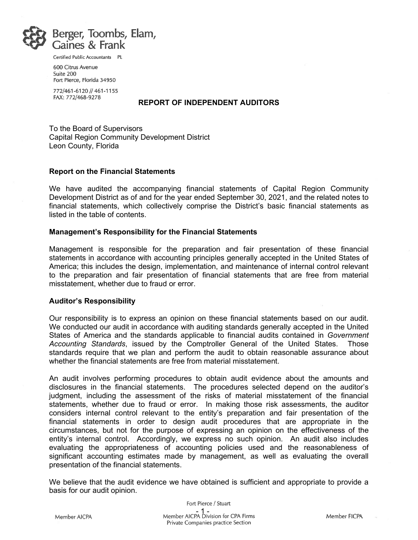

Certified Public Accountants PL

600 Citrus Avenue Suite 200 Fort Pierce, Florida 34950

772/461-6120 // 461-1155 FAX: 772/468-9278

#### **REPORT OF INDEPENDENT AUDITORS**

To the Board of Supervisors Capital Region Community Development District Leon County, Florida

#### **Report on the Financial Statements**

We have audited the accompanying financial statements of Capital Region Community Development District as of and for the year ended September 30, 2021, and the related notes to financial statements, which collectively comprise the District's basic financial statements as listed in the table of contents.

#### **Management's Responsibility for the Financial Statements**

Management is responsible for the preparation and fair presentation of these financial statements in accordance with accounting principles generally accepted in the United States of America; this includes the design, implementation, and maintenance of internal control relevant to the preparation and fair presentation of financial statements that are free from material misstatement, whether due to fraud or error.

#### **Auditor's Responsibility**

Our responsibility is to express an opinion on these financial statements based on our audit. We conducted our audit in accordance with auditing standards generally accepted in the United States of America and the standards applicable to financial audits contained in *Government Accounting Standards*, issued by the Comptroller General of the United States. Those standards require that we plan and perform the audit to obtain reasonable assurance about whether the financial statements are free from material misstatement.

An audit involves performing procedures to obtain audit evidence about the amounts and disclosures in the financial statements. The procedures selected depend on the auditor's judgment, including the assessment of the risks of material misstatement of the financial statements, whether due to fraud or error. In making those risk assessments, the auditor considers internal control relevant to the entity's preparation and fair presentation of the financial statements in order to design audit procedures that are appropriate in the circumstances, but not for the purpose of expressing an opinion on the effectiveness of the entity's internal control. Accordingly, we express no such opinion. An audit also includes evaluating the appropriateness of accounting policies used and the reasonableness of significant accounting estimates made by management, as well as evaluating the overall presentation of the financial statements.

We believe that the audit evidence we have obtained is sufficient and appropriate to provide a basis for our audit opinion.

> Fort Pierce / Stuart Member AICPA Division for CPA Firms Private Companies practice Section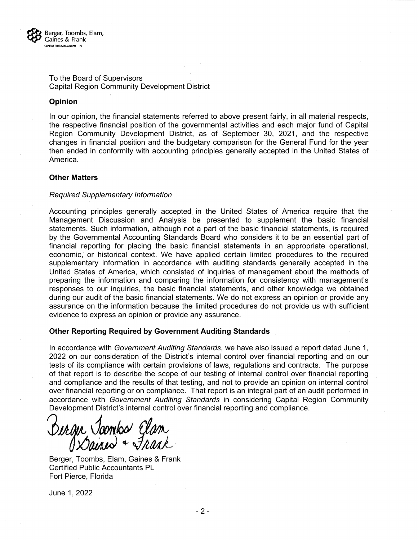

# To the Board of Supervisors

Capital Region Community Development District

#### **Opinion**

In our opinion, the financial statements referred to above present fairly, in all material respects, the respective financial position of the governmental activities and each major fund of Capital Region Community Development District, as of September 30, 2021, and the respective changes in financial position and the budgetary comparison for the General Fund for the year then ended in conformity with accounting principles generally accepted in the United States of America.

#### **Other Matters**

#### *Required Supplementary Information*

Accounting principles generally accepted in the United States of America require that the Management Discussion and Analysis be presented to supplement the basic financial statements. Such information, although not a part of the basic financial statements, is required by the Governmental Accounting Standards Board who considers it to be an essential part of financial reporting for placing the basic financial statements in an appropriate operational, economic, or historical context. We have applied certain limited procedures to the required supplementary information in accordance with auditing standards generally accepted in the United States of America, which consisted of inquiries of management about the methods of preparing the information and comparing the information for consistency with management's responses to our inquiries, the basic financial statements, and other knowledge we obtained during our audit of the basic financial statements. We do not express an opinion or provide any assurance on the information because the limited procedures do not provide us with sufficient evidence to express an opinion or provide any assurance.

#### **Other Reporting Required by Government Auditing Standards**

In accordance with *Government Auditing Standards*, we have also issued a report dated June 1, 2022 on our consideration of the District's internal control over financial reporting and on our tests of its compliance with certain provisions of laws, regulations and contracts. The purpose of that report is to describe the scope of our testing of internal control over financial reporting and compliance and the results of that testing, and not to provide an opinion on internal control over financial reporting or on compliance. That report is an integral part of an audit performed in accordance with *Government Auditing Standards* in considering Capital Region Community Development District's internal control over financial reporting and compliance.

Durgin Joonko Clam

Berger, Toombs, Elam, Gaines & Frank Certified Public Accountants PL Fort Pierce, Florida

June 1, 2022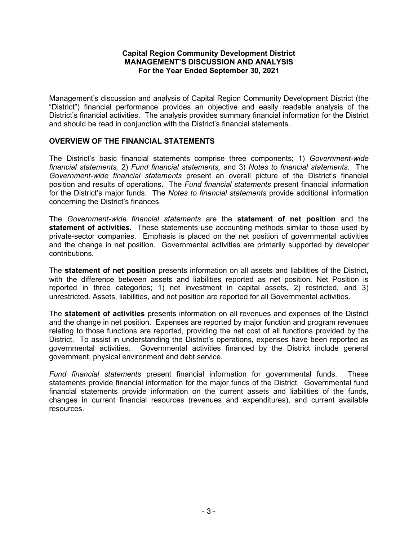Management's discussion and analysis of Capital Region Community Development District (the "District") financial performance provides an objective and easily readable analysis of the District's financial activities. The analysis provides summary financial information for the District and should be read in conjunction with the District's financial statements.

# **OVERVIEW OF THE FINANCIAL STATEMENTS**

The District's basic financial statements comprise three components; 1) *Government-wide financial statements,* 2) *Fund financial statements,* and 3) *Notes to financial statements.* The *Government-wide financial statements* present an overall picture of the District's financial position and results of operations. The *Fund financial statements* present financial information for the District's major funds. The *Notes to financial statements* provide additional information concerning the District's finances.

The *Government-wide financial statements* are the **statement of net position** and the **statement of activities**. These statements use accounting methods similar to those used by private-sector companies. Emphasis is placed on the net position of governmental activities and the change in net position. Governmental activities are primarily supported by developer contributions.

The **statement of net position** presents information on all assets and liabilities of the District, with the difference between assets and liabilities reported as net position. Net Position is reported in three categories; 1) net investment in capital assets, 2) restricted, and 3) unrestricted. Assets, liabilities, and net position are reported for all Governmental activities.

The **statement of activities** presents information on all revenues and expenses of the District and the change in net position. Expenses are reported by major function and program revenues relating to those functions are reported, providing the net cost of all functions provided by the District. To assist in understanding the District's operations, expenses have been reported as governmental activities. Governmental activities financed by the District include general government, physical environment and debt service.

*Fund financial statements* present financial information for governmental funds. These statements provide financial information for the major funds of the District. Governmental fund financial statements provide information on the current assets and liabilities of the funds, changes in current financial resources (revenues and expenditures), and current available resources.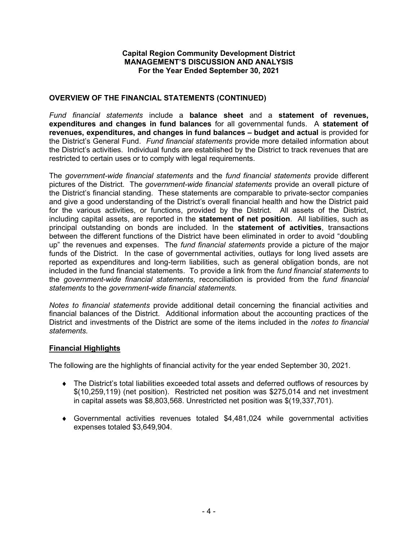# OVERVIEW OF THE FINANCIAL STATEMENTS (CONTINUED)

Fund financial statements include a balance sheet and a statement of revenues, expenditures and changes in fund balances for all governmental funds. A statement of revenues, expenditures, and changes in fund balances – budget and actual is provided for the District's General Fund. Fund financial statements provide more detailed information about the District's activities. Individual funds are established by the District to track revenues that are restricted to certain uses or to comply with legal requirements.

The government-wide financial statements and the fund financial statements provide different pictures of the District. The government-wide financial statements provide an overall picture of the District's financial standing. These statements are comparable to private-sector companies and give a good understanding of the District's overall financial health and how the District paid for the various activities, or functions, provided by the District. All assets of the District, including capital assets, are reported in the **statement of net position**. All liabilities, such as principal outstanding on bonds are included. In the statement of activities, transactions between the different functions of the District have been eliminated in order to avoid "doubling up" the revenues and expenses. The fund financial statements provide a picture of the major funds of the District. In the case of governmental activities, outlays for long lived assets are reported as expenditures and long-term liabilities, such as general obligation bonds, are not included in the fund financial statements. To provide a link from the fund financial statements to the government-wide financial statements, reconciliation is provided from the fund financial statements to the government-wide financial statements.

Notes to financial statements provide additional detail concerning the financial activities and financial balances of the District. Additional information about the accounting practices of the District and investments of the District are some of the items included in the notes to financial statements.

# Financial Highlights

The following are the highlights of financial activity for the year ended September 30, 2021.

- The District's total liabilities exceeded total assets and deferred outflows of resources by \$(10,259,119) (net position). Restricted net position was \$275,014 and net investment in capital assets was \$8,803,568. Unrestricted net position was \$(19,337,701).
- Governmental activities revenues totaled \$4,481,024 while governmental activities expenses totaled \$3,649,904.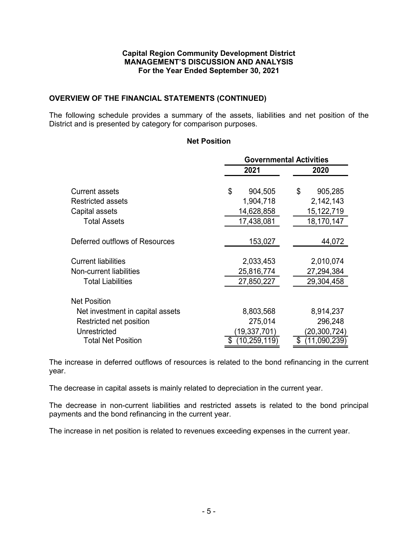# **OVERVIEW OF THE FINANCIAL STATEMENTS (CONTINUED)**

The following schedule provides a summary of the assets, liabilities and net position of the District and is presented by category for comparison purposes.

## **Net Position**

|                                  |                     | <b>Governmental Activities</b> |  |  |
|----------------------------------|---------------------|--------------------------------|--|--|
|                                  | 2021                | 2020                           |  |  |
| <b>Current assets</b>            | \$<br>904,505       | \$<br>905,285                  |  |  |
| Restricted assets                | 1,904,718           | 2,142,143                      |  |  |
| Capital assets                   | 14,628,858          | 15, 122, 719                   |  |  |
| <b>Total Assets</b>              | 17,438,081          | 18,170,147                     |  |  |
|                                  |                     |                                |  |  |
| Deferred outflows of Resources   | 153,027             | 44,072                         |  |  |
|                                  |                     |                                |  |  |
| <b>Current liabilities</b>       | 2,033,453           | 2,010,074                      |  |  |
| Non-current liabilities          | 25,816,774          | 27,294,384                     |  |  |
| <b>Total Liabilities</b>         | 27,850,227          | 29,304,458                     |  |  |
| <b>Net Position</b>              |                     |                                |  |  |
| Net investment in capital assets | 8,803,568           | 8,914,237                      |  |  |
| Restricted net position          | 275,014             | 296,248                        |  |  |
| Unrestricted                     | 19,337,701)         | (20, 300, 724)                 |  |  |
| <b>Total Net Position</b>        | (10, 259, 119)<br>S | (11,090,239)<br>\$             |  |  |

The increase in deferred outflows of resources is related to the bond refinancing in the current year.

The decrease in capital assets is mainly related to depreciation in the current year.

The decrease in non-current liabilities and restricted assets is related to the bond principal payments and the bond refinancing in the current year.

The increase in net position is related to revenues exceeding expenses in the current year.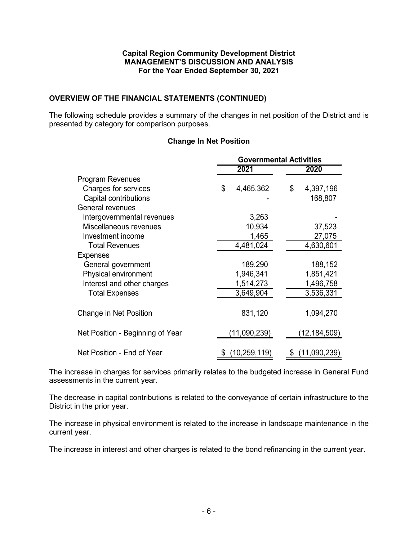# **OVERVIEW OF THE FINANCIAL STATEMENTS (CONTINUED)**

The following schedule provides a summary of the changes in net position of the District and is presented by category for comparison purposes.

# **Change In Net Position**

|                                  | <b>Governmental Activities</b> |                    |  |  |
|----------------------------------|--------------------------------|--------------------|--|--|
|                                  | 2021                           | 2020               |  |  |
| <b>Program Revenues</b>          |                                |                    |  |  |
| Charges for services             | \$<br>4,465,362                | \$<br>4,397,196    |  |  |
| Capital contributions            |                                | 168,807            |  |  |
| <b>General revenues</b>          |                                |                    |  |  |
| Intergovernmental revenues       | 3,263                          |                    |  |  |
| Miscellaneous revenues           | 10,934                         | 37,523             |  |  |
| Investment income                | 1,465                          | 27,075             |  |  |
| <b>Total Revenues</b>            | 4,481,024                      | 4,630,601          |  |  |
| <b>Expenses</b>                  |                                |                    |  |  |
| General government               | 189,290                        | 188,152            |  |  |
| Physical environment             | 1,946,341                      | 1,851,421          |  |  |
| Interest and other charges       | 1,514,273                      | 1,496,758          |  |  |
| <b>Total Expenses</b>            | 3,649,904                      | 3,536,331          |  |  |
| Change in Net Position           | 831,120                        | 1,094,270          |  |  |
| Net Position - Beginning of Year | (11,090,239)                   | (12,184,509)       |  |  |
| Net Position - End of Year       | (10, 259, 119)<br>\$           | (11,090,239)<br>\$ |  |  |

The increase in charges for services primarily relates to the budgeted increase in General Fund assessments in the current year.

The decrease in capital contributions is related to the conveyance of certain infrastructure to the District in the prior year.

The increase in physical environment is related to the increase in landscape maintenance in the current year.

The increase in interest and other charges is related to the bond refinancing in the current year.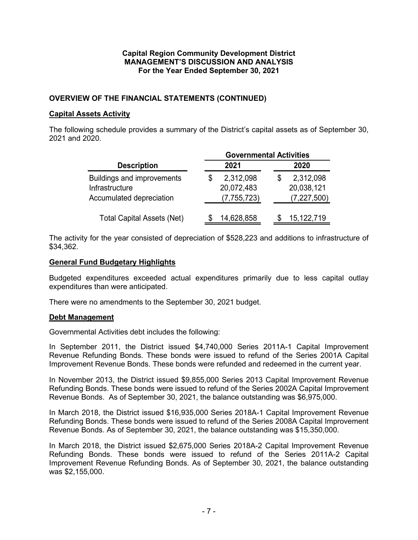# **OVERVIEW OF THE FINANCIAL STATEMENTS (CONTINUED)**

# **Capital Assets Activity**

The following schedule provides a summary of the District's capital assets as of September 30, 2021 and 2020.

|                                   | <b>Governmental Activities</b> |               |  |               |
|-----------------------------------|--------------------------------|---------------|--|---------------|
| <b>Description</b>                |                                | 2021          |  | 2020          |
| <b>Buildings and improvements</b> |                                | 2,312,098     |  | 2,312,098     |
| Infrastructure                    |                                | 20,072,483    |  | 20,038,121    |
| Accumulated depreciation          |                                | (7, 755, 723) |  | (7, 227, 500) |
| <b>Total Capital Assets (Net)</b> |                                | 14,628,858    |  | 15,122,719    |

The activity for the year consisted of depreciation of \$528,223 and additions to infrastructure of \$34,362.

## **General Fund Budgetary Highlights**

Budgeted expenditures exceeded actual expenditures primarily due to less capital outlay expenditures than were anticipated.

There were no amendments to the September 30, 2021 budget.

#### **Debt Management**

Governmental Activities debt includes the following:

In September 2011, the District issued \$4,740,000 Series 2011A-1 Capital Improvement Revenue Refunding Bonds. These bonds were issued to refund of the Series 2001A Capital Improvement Revenue Bonds. These bonds were refunded and redeemed in the current year.

In November 2013, the District issued \$9,855,000 Series 2013 Capital Improvement Revenue Refunding Bonds. These bonds were issued to refund of the Series 2002A Capital Improvement Revenue Bonds. As of September 30, 2021, the balance outstanding was \$6,975,000.

In March 2018, the District issued \$16,935,000 Series 2018A-1 Capital Improvement Revenue Refunding Bonds. These bonds were issued to refund of the Series 2008A Capital Improvement Revenue Bonds. As of September 30, 2021, the balance outstanding was \$15,350,000.

In March 2018, the District issued \$2,675,000 Series 2018A-2 Capital Improvement Revenue Refunding Bonds. These bonds were issued to refund of the Series 2011A-2 Capital Improvement Revenue Refunding Bonds. As of September 30, 2021, the balance outstanding was \$2,155,000.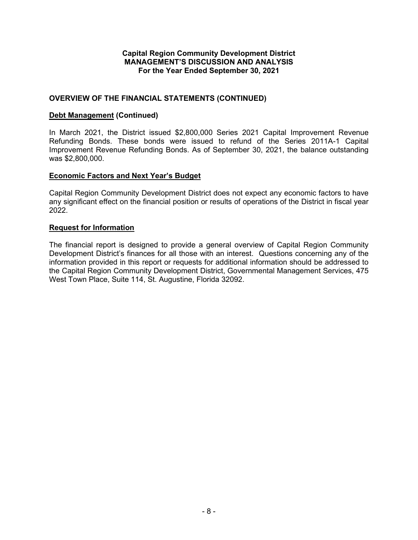# **OVERVIEW OF THE FINANCIAL STATEMENTS (CONTINUED)**

# **Debt Management (Continued)**

In March 2021, the District issued \$2,800,000 Series 2021 Capital Improvement Revenue Refunding Bonds. These bonds were issued to refund of the Series 2011A-1 Capital Improvement Revenue Refunding Bonds. As of September 30, 2021, the balance outstanding was \$2,800,000.

## **Economic Factors and Next Year's Budget**

Capital Region Community Development District does not expect any economic factors to have any significant effect on the financial position or results of operations of the District in fiscal year 2022.

## **Request for Information**

The financial report is designed to provide a general overview of Capital Region Community Development District's finances for all those with an interest. Questions concerning any of the information provided in this report or requests for additional information should be addressed to the Capital Region Community Development District, Governmental Management Services, 475 West Town Place, Suite 114, St. Augustine, Florida 32092.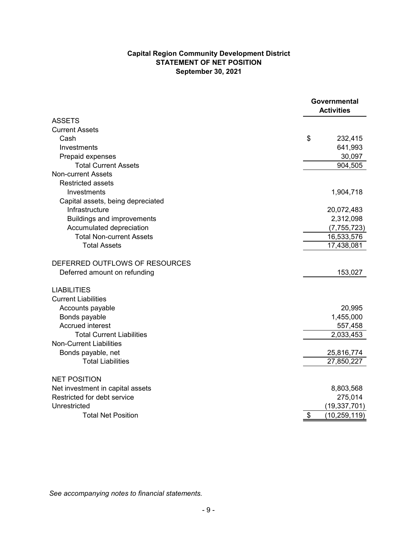# **Capital Region Community Development District STATEMENT OF NET POSITION September 30, 2021**

|                                   | Governmental<br><b>Activities</b> |
|-----------------------------------|-----------------------------------|
| <b>ASSETS</b>                     |                                   |
| <b>Current Assets</b>             |                                   |
| Cash                              | \$<br>232,415                     |
| Investments                       | 641,993                           |
| Prepaid expenses                  | 30,097                            |
| <b>Total Current Assets</b>       | 904,505                           |
| <b>Non-current Assets</b>         |                                   |
| <b>Restricted assets</b>          |                                   |
| Investments                       | 1,904,718                         |
| Capital assets, being depreciated |                                   |
| Infrastructure                    | 20,072,483                        |
| <b>Buildings and improvements</b> | 2,312,098                         |
| Accumulated depreciation          | (7, 755, 723)                     |
| <b>Total Non-current Assets</b>   | 16,533,576                        |
| <b>Total Assets</b>               | 17,438,081                        |
| DEFERRED OUTFLOWS OF RESOURCES    |                                   |
| Deferred amount on refunding      | 153,027                           |
|                                   |                                   |
| <b>LIABILITIES</b>                |                                   |
| <b>Current Liabilities</b>        |                                   |
| Accounts payable                  | 20,995                            |
| Bonds payable                     | 1,455,000                         |
| <b>Accrued interest</b>           | 557,458                           |
| <b>Total Current Liabilities</b>  | 2,033,453                         |
| <b>Non-Current Liabilities</b>    |                                   |
| Bonds payable, net                | 25,816,774                        |
| <b>Total Liabilities</b>          | 27,850,227                        |
| <b>NET POSITION</b>               |                                   |
| Net investment in capital assets  | 8,803,568                         |
| Restricted for debt service       | 275,014                           |
| Unrestricted                      | (19, 337, 701)                    |
| <b>Total Net Position</b>         | \$<br>(10,259,119)                |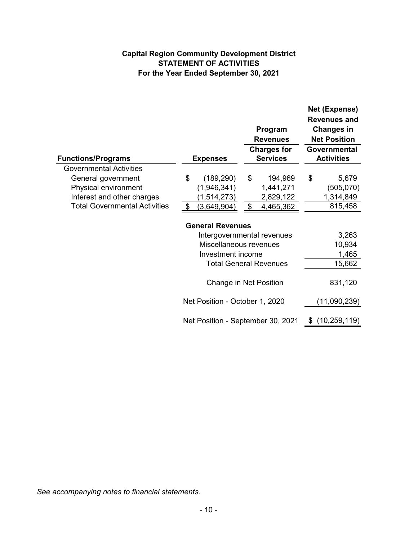# **Capital Region Community Development District STATEMENT OF ACTIVITIES For the Year Ended September 30, 2021**

| <b>Functions/Programs</b>            | <b>Expenses</b>                   | Program<br><b>Revenues</b><br><b>Charges for</b><br><b>Services</b> | Net (Expense)<br><b>Revenues and</b><br><b>Changes in</b><br><b>Net Position</b><br>Governmental<br><b>Activities</b> |
|--------------------------------------|-----------------------------------|---------------------------------------------------------------------|-----------------------------------------------------------------------------------------------------------------------|
| <b>Governmental Activities</b>       |                                   |                                                                     |                                                                                                                       |
| General government                   | \$<br>(189, 290)                  | \$<br>194,969                                                       | \$<br>5,679                                                                                                           |
| Physical environment                 | (1,946,341)                       | 1,441,271                                                           | (505,070)                                                                                                             |
| Interest and other charges           | (1,514,273)                       | 2,829,122                                                           | 1,314,849                                                                                                             |
| <b>Total Governmental Activities</b> | \$<br>(3,649,904)                 | \$<br>4,465,362                                                     | 815,458                                                                                                               |
|                                      | <b>General Revenues</b>           |                                                                     |                                                                                                                       |
|                                      | Intergovernmental revenues        |                                                                     | 3,263                                                                                                                 |
|                                      | Miscellaneous revenues            |                                                                     | 10,934                                                                                                                |
|                                      | Investment income                 |                                                                     | 1,465                                                                                                                 |
|                                      | <b>Total General Revenues</b>     |                                                                     | 15,662                                                                                                                |
|                                      | Change in Net Position            |                                                                     | 831,120                                                                                                               |
|                                      | Net Position - October 1, 2020    |                                                                     | (11,090,239)                                                                                                          |
|                                      | Net Position - September 30, 2021 |                                                                     | \$<br>(10, 259, 119)                                                                                                  |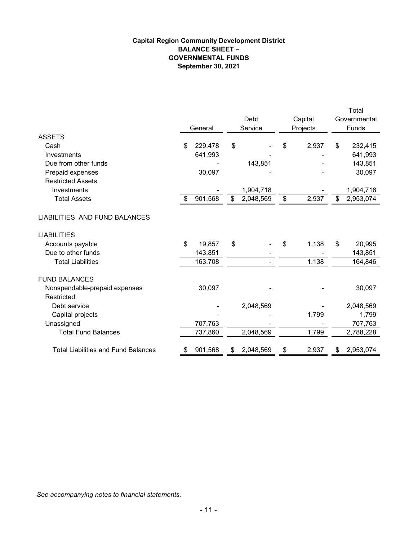## **Capital Region Community Development District BALANCE SHEET – GOVERNMENTAL FUNDS September 30, 2021**

|                                                     |               |                 |             | Total           |
|-----------------------------------------------------|---------------|-----------------|-------------|-----------------|
|                                                     |               | Debt            | Capital     | Governmental    |
|                                                     | General       | Service         | Projects    | Funds           |
| <b>ASSETS</b>                                       |               |                 |             |                 |
| Cash                                                | \$<br>229,478 | \$              | \$<br>2,937 | \$<br>232,415   |
| Investments                                         | 641,993       |                 |             | 641,993         |
| Due from other funds                                |               | 143,851         |             | 143,851         |
| Prepaid expenses                                    | 30,097        |                 |             | 30,097          |
| <b>Restricted Assets</b>                            |               |                 |             |                 |
| Investments                                         |               | 1,904,718       |             | 1,904,718       |
| <b>Total Assets</b>                                 | \$<br>901,568 | \$<br>2,048,569 | \$<br>2,937 | \$<br>2,953,074 |
| LIABILITIES AND FUND BALANCES<br><b>LIABILITIES</b> |               |                 |             |                 |
| Accounts payable                                    | \$<br>19,857  | \$              | \$<br>1,138 | \$<br>20,995    |
| Due to other funds                                  | 143,851       |                 |             | 143,851         |
| <b>Total Liabilities</b>                            | 163,708       |                 | 1,138       | 164,846         |
| <b>FUND BALANCES</b>                                |               |                 |             |                 |
| Nonspendable-prepaid expenses<br>Restricted:        | 30,097        |                 |             | 30,097          |
| Debt service                                        |               | 2,048,569       |             | 2,048,569       |
| Capital projects                                    |               |                 | 1,799       | 1,799           |
| Unassigned                                          | 707,763       |                 |             | 707,763         |
| <b>Total Fund Balances</b>                          | 737,860       | 2,048,569       | 1,799       | 2,788,228       |
| <b>Total Liabilities and Fund Balances</b>          | \$<br>901,568 | \$<br>2,048,569 | \$<br>2,937 | \$<br>2,953,074 |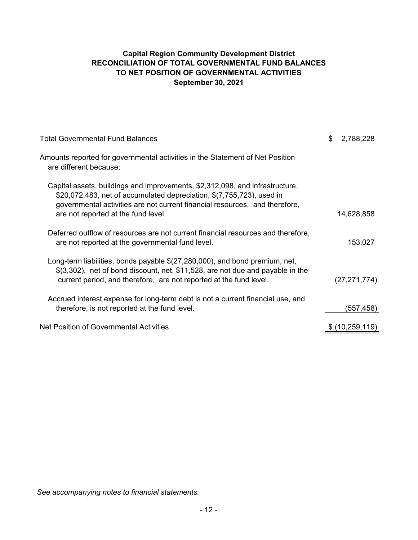# **Capital Region Community Development District RECONCILIATION OF TOTAL GOVERNMENTAL FUND BALANCES TO NET POSITION OF GOVERNMENTAL ACTIVITIES September 30, 2021**

| <b>Total Governmental Fund Balances</b>                                                                                                                                                                                                                                     | \$<br>2,788,228  |
|-----------------------------------------------------------------------------------------------------------------------------------------------------------------------------------------------------------------------------------------------------------------------------|------------------|
| Amounts reported for governmental activities in the Statement of Net Position<br>are different because:                                                                                                                                                                     |                  |
| Capital assets, buildings and improvements, \$2,312,098, and infrastructure,<br>\$20,072,483, net of accumulated depreciation, \$(7,755,723), used in<br>governmental activities are not current financial resources, and therefore,<br>are not reported at the fund level. | 14,628,858       |
| Deferred outflow of resources are not current financial resources and therefore,<br>are not reported at the governmental fund level.                                                                                                                                        | 153,027          |
| Long-term liabilities, bonds payable \$(27,280,000), and bond premium, net,<br>\$(3,302), net of bond discount, net, \$11,528, are not due and payable in the<br>current period, and therefore, are not reported at the fund level.                                         | (27, 271, 774)   |
| Accrued interest expense for long-term debt is not a current financial use, and<br>therefore, is not reported at the fund level.                                                                                                                                            | (557, 458)       |
| <b>Net Position of Governmental Activities</b>                                                                                                                                                                                                                              | \$(10, 259, 119) |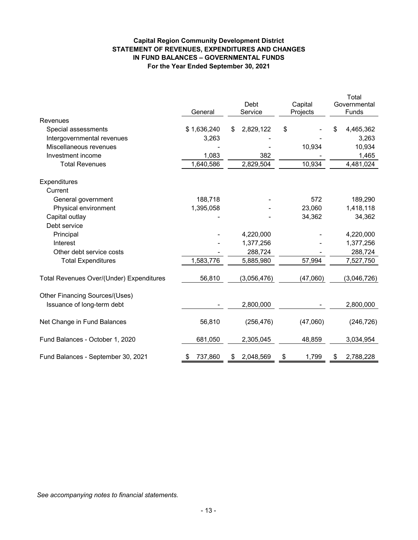### **Capital Region Community Development District STATEMENT OF REVENUES, EXPENDITURES AND CHANGES IN FUND BALANCES – GOVERNMENTAL FUNDS For the Year Ended September 30, 2021**

|                                          | General       | Debt<br>Service | Capital<br>Projects | Total<br>Governmental<br>Funds |
|------------------------------------------|---------------|-----------------|---------------------|--------------------------------|
| Revenues                                 |               |                 |                     |                                |
| Special assessments                      | \$1,636,240   | \$<br>2,829,122 | \$                  | 4,465,362<br>\$                |
| Intergovernmental revenues               | 3,263         |                 |                     | 3,263                          |
| Miscellaneous revenues                   |               |                 | 10,934              | 10,934                         |
| Investment income                        | 1,083         | 382             |                     | 1,465                          |
| <b>Total Revenues</b>                    | 1,640,586     | 2,829,504       | 10,934              | 4,481,024                      |
| Expenditures                             |               |                 |                     |                                |
| Current                                  |               |                 |                     |                                |
| General government                       | 188,718       |                 | 572                 | 189,290                        |
| Physical environment                     | 1,395,058     |                 | 23,060              | 1,418,118                      |
| Capital outlay                           |               |                 | 34,362              | 34,362                         |
| Debt service                             |               |                 |                     |                                |
| Principal                                |               | 4,220,000       |                     | 4,220,000                      |
| Interest                                 |               | 1,377,256       |                     | 1,377,256                      |
| Other debt service costs                 |               | 288,724         |                     | 288,724                        |
| <b>Total Expenditures</b>                | 1,583,776     | 5,885,980       | 57,994              | 7,527,750                      |
| Total Revenues Over/(Under) Expenditures | 56,810        | (3,056,476)     | (47,060)            | (3,046,726)                    |
| Other Financing Sources/(Uses)           |               |                 |                     |                                |
| Issuance of long-term debt               |               | 2,800,000       |                     | 2,800,000                      |
| Net Change in Fund Balances              | 56,810        | (256, 476)      | (47,060)            | (246, 726)                     |
| Fund Balances - October 1, 2020          | 681,050       | 2,305,045       | 48,859              | 3,034,954                      |
| Fund Balances - September 30, 2021       | 737,860<br>\$ | 2,048,569<br>\$ | 1,799<br>\$         | 2,788,228<br>\$                |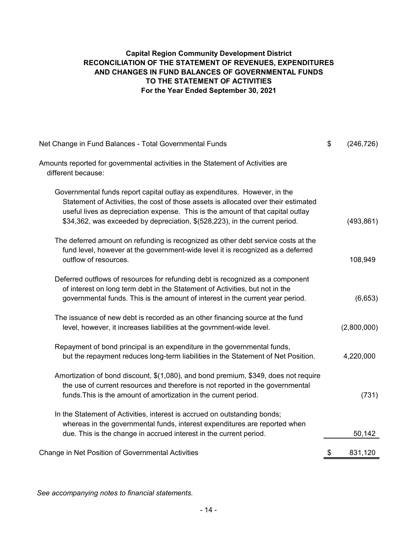# **Capital Region Community Development District RECONCILIATION OF THE STATEMENT OF REVENUES, EXPENDITURES AND CHANGES IN FUND BALANCES OF GOVERNMENTAL FUNDS TO THE STATEMENT OF ACTIVITIES For the Year Ended September 30, 2021**

| Net Change in Fund Balances - Total Governmental Funds                                                                                                                                                                                                                                                                             | S  | (246,726)   |
|------------------------------------------------------------------------------------------------------------------------------------------------------------------------------------------------------------------------------------------------------------------------------------------------------------------------------------|----|-------------|
| Amounts reported for governmental activities in the Statement of Activities are<br>different because:                                                                                                                                                                                                                              |    |             |
| Governmental funds report capital outlay as expenditures. However, in the<br>Statement of Activities, the cost of those assets is allocated over their estimated<br>useful lives as depreciation expense. This is the amount of that capital outlay<br>\$34,362, was exceeded by depreciation, \$(528,223), in the current period. |    | (493, 861)  |
| The deferred amount on refunding is recognized as other debt service costs at the<br>fund level, however at the government-wide level it is recognized as a deferred<br>outflow of resources.                                                                                                                                      |    | 108,949     |
| Deferred outflows of resources for refunding debt is recognized as a component<br>of interest on long term debt in the Statement of Activities, but not in the<br>governmental funds. This is the amount of interest in the current year period.                                                                                   |    | (6,653)     |
| The issuance of new debt is recorded as an other financing source at the fund<br>level, however, it increases liabilities at the govrnment-wide level.                                                                                                                                                                             |    | (2,800,000) |
| Repayment of bond principal is an expenditure in the governmental funds,<br>but the repayment reduces long-term liabilities in the Statement of Net Position.                                                                                                                                                                      |    | 4,220,000   |
| Amortization of bond discount, \$(1,080), and bond premium, \$349, does not require<br>the use of current resources and therefore is not reported in the governmental<br>funds. This is the amount of amortization in the current period.                                                                                          |    | (731)       |
| In the Statement of Activities, interest is accrued on outstanding bonds;<br>whereas in the governmental funds, interest expenditures are reported when<br>due. This is the change in accrued interest in the current period.                                                                                                      |    | 50,142      |
| Change in Net Position of Governmental Activities                                                                                                                                                                                                                                                                                  | \$ | 831,120     |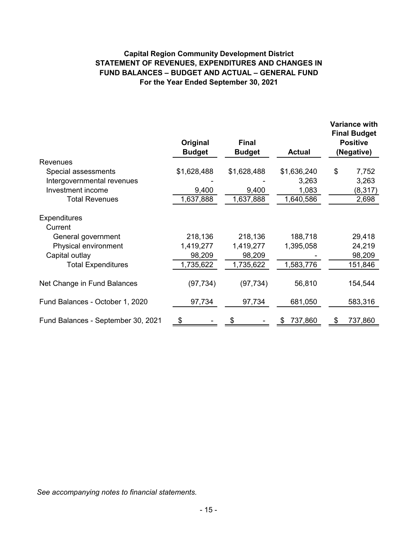# **Capital Region Community Development District STATEMENT OF REVENUES, EXPENDITURES AND CHANGES IN FUND BALANCES – BUDGET AND ACTUAL – GENERAL FUND For the Year Ended September 30, 2021**

|                                    |               |               |               | <b>Variance with</b><br><b>Final Budget</b> |
|------------------------------------|---------------|---------------|---------------|---------------------------------------------|
|                                    | Original      | <b>Final</b>  |               | <b>Positive</b>                             |
|                                    | <b>Budget</b> | <b>Budget</b> | <b>Actual</b> | (Negative)                                  |
| Revenues                           |               |               |               |                                             |
| Special assessments                | \$1,628,488   | \$1,628,488   | \$1,636,240   | \$<br>7,752                                 |
| Intergovernmental revenues         |               |               | 3,263         | 3,263                                       |
| Investment income                  | 9,400         | 9,400         | 1,083         | (8, 317)                                    |
| <b>Total Revenues</b>              | 1,637,888     | 1,637,888     | 1,640,586     | 2,698                                       |
| <b>Expenditures</b>                |               |               |               |                                             |
| Current                            |               |               |               |                                             |
| General government                 | 218,136       | 218,136       | 188,718       | 29,418                                      |
| Physical environment               | 1,419,277     | 1,419,277     | 1,395,058     | 24,219                                      |
| Capital outlay                     | 98,209        | 98,209        |               | 98,209                                      |
| <b>Total Expenditures</b>          | 1,735,622     | 1,735,622     | 1,583,776     | 151,846                                     |
| Net Change in Fund Balances        | (97, 734)     | (97, 734)     | 56,810        | 154,544                                     |
| Fund Balances - October 1, 2020    | 97,734        | 97,734        | 681,050       | 583,316                                     |
| Fund Balances - September 30, 2021 | \$            |               | 737,860       | 737,860                                     |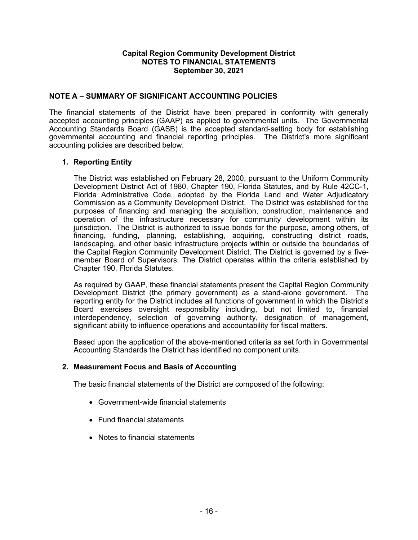# **NOTE A – SUMMARY OF SIGNIFICANT ACCOUNTING POLICIES**

The financial statements of the District have been prepared in conformity with generally accepted accounting principles (GAAP) as applied to governmental units. The Governmental Accounting Standards Board (GASB) is the accepted standard-setting body for establishing governmental accounting and financial reporting principles. The District's more significant accounting policies are described below.

# **1. Reporting Entity**

The District was established on February 28, 2000, pursuant to the Uniform Community Development District Act of 1980, Chapter 190, Florida Statutes, and by Rule 42CC-1, Florida Administrative Code, adopted by the Florida Land and Water Adjudicatory Commission as a Community Development District. The District was established for the purposes of financing and managing the acquisition, construction, maintenance and operation of the infrastructure necessary for community development within its jurisdiction. The District is authorized to issue bonds for the purpose, among others, of financing, funding, planning, establishing, acquiring, constructing district roads, landscaping, and other basic infrastructure projects within or outside the boundaries of the Capital Region Community Development District. The District is governed by a fivemember Board of Supervisors. The District operates within the criteria established by Chapter 190, Florida Statutes.

As required by GAAP, these financial statements present the Capital Region Community Development District (the primary government) as a stand-alone government. The reporting entity for the District includes all functions of government in which the District's Board exercises oversight responsibility including, but not limited to, financial interdependency, selection of governing authority, designation of management, significant ability to influence operations and accountability for fiscal matters.

Based upon the application of the above-mentioned criteria as set forth in Governmental Accounting Standards the District has identified no component units.

# **2. Measurement Focus and Basis of Accounting**

The basic financial statements of the District are composed of the following:

- Government-wide financial statements
- Fund financial statements
- Notes to financial statements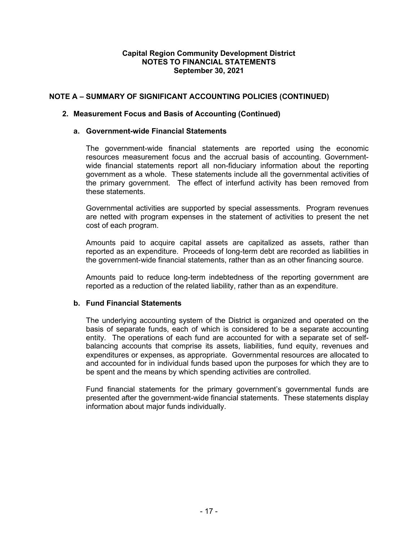# **NOTE A – SUMMARY OF SIGNIFICANT ACCOUNTING POLICIES (CONTINUED)**

## **2. Measurement Focus and Basis of Accounting (Continued)**

## **a. Government-wide Financial Statements**

The government-wide financial statements are reported using the economic resources measurement focus and the accrual basis of accounting. Governmentwide financial statements report all non-fiduciary information about the reporting government as a whole. These statements include all the governmental activities of the primary government. The effect of interfund activity has been removed from these statements.

Governmental activities are supported by special assessments. Program revenues are netted with program expenses in the statement of activities to present the net cost of each program.

Amounts paid to acquire capital assets are capitalized as assets, rather than reported as an expenditure. Proceeds of long-term debt are recorded as liabilities in the government-wide financial statements, rather than as an other financing source.

Amounts paid to reduce long-term indebtedness of the reporting government are reported as a reduction of the related liability, rather than as an expenditure.

# **b. Fund Financial Statements**

The underlying accounting system of the District is organized and operated on the basis of separate funds, each of which is considered to be a separate accounting entity. The operations of each fund are accounted for with a separate set of selfbalancing accounts that comprise its assets, liabilities, fund equity, revenues and expenditures or expenses, as appropriate. Governmental resources are allocated to and accounted for in individual funds based upon the purposes for which they are to be spent and the means by which spending activities are controlled.

Fund financial statements for the primary government's governmental funds are presented after the government-wide financial statements. These statements display information about major funds individually.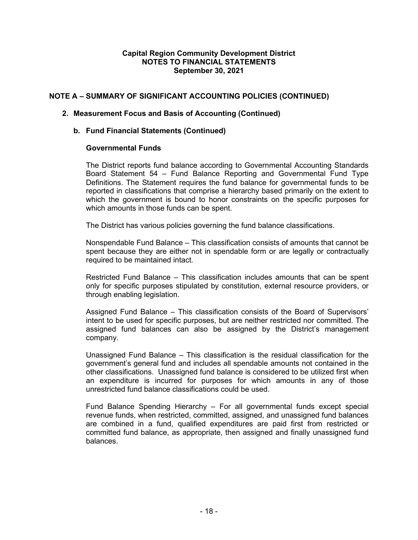# **NOTE A – SUMMARY OF SIGNIFICANT ACCOUNTING POLICIES (CONTINUED)**

# **2. Measurement Focus and Basis of Accounting (Continued)**

# **b. Fund Financial Statements (Continued)**

# **Governmental Funds**

The District reports fund balance according to Governmental Accounting Standards Board Statement 54 – Fund Balance Reporting and Governmental Fund Type Definitions. The Statement requires the fund balance for governmental funds to be reported in classifications that comprise a hierarchy based primarily on the extent to which the government is bound to honor constraints on the specific purposes for which amounts in those funds can be spent.

The District has various policies governing the fund balance classifications.

Nonspendable Fund Balance – This classification consists of amounts that cannot be spent because they are either not in spendable form or are legally or contractually required to be maintained intact.

Restricted Fund Balance *–* This classification includes amounts that can be spent only for specific purposes stipulated by constitution, external resource providers, or through enabling legislation.

Assigned Fund Balance – This classification consists of the Board of Supervisors' intent to be used for specific purposes, but are neither restricted nor committed. The assigned fund balances can also be assigned by the District's management company.

Unassigned Fund Balance – This classification is the residual classification for the government's general fund and includes all spendable amounts not contained in the other classifications. Unassigned fund balance is considered to be utilized first when an expenditure is incurred for purposes for which amounts in any of those unrestricted fund balance classifications could be used.

Fund Balance Spending Hierarchy – For all governmental funds except special revenue funds, when restricted, committed, assigned, and unassigned fund balances are combined in a fund, qualified expenditures are paid first from restricted or committed fund balance, as appropriate, then assigned and finally unassigned fund balances.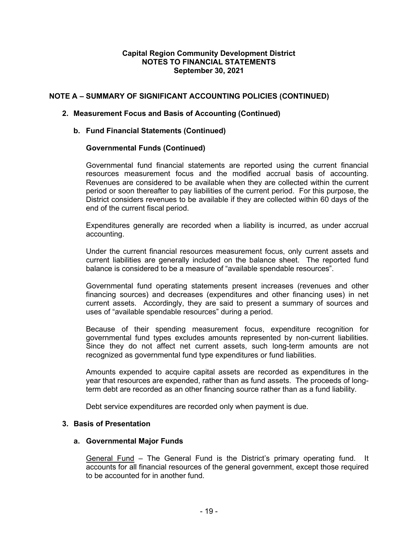# **NOTE A – SUMMARY OF SIGNIFICANT ACCOUNTING POLICIES (CONTINUED)**

## **2. Measurement Focus and Basis of Accounting (Continued)**

### **b. Fund Financial Statements (Continued)**

## **Governmental Funds (Continued)**

Governmental fund financial statements are reported using the current financial resources measurement focus and the modified accrual basis of accounting. Revenues are considered to be available when they are collected within the current period or soon thereafter to pay liabilities of the current period. For this purpose, the District considers revenues to be available if they are collected within 60 days of the end of the current fiscal period.

Expenditures generally are recorded when a liability is incurred, as under accrual accounting.

Under the current financial resources measurement focus, only current assets and current liabilities are generally included on the balance sheet. The reported fund balance is considered to be a measure of "available spendable resources".

Governmental fund operating statements present increases (revenues and other financing sources) and decreases (expenditures and other financing uses) in net current assets. Accordingly, they are said to present a summary of sources and uses of "available spendable resources" during a period.

Because of their spending measurement focus, expenditure recognition for governmental fund types excludes amounts represented by non-current liabilities. Since they do not affect net current assets, such long-term amounts are not recognized as governmental fund type expenditures or fund liabilities.

Amounts expended to acquire capital assets are recorded as expenditures in the year that resources are expended, rather than as fund assets. The proceeds of longterm debt are recorded as an other financing source rather than as a fund liability.

Debt service expenditures are recorded only when payment is due.

# **3. Basis of Presentation**

#### **a. Governmental Major Funds**

General Fund – The General Fund is the District's primary operating fund. It accounts for all financial resources of the general government, except those required to be accounted for in another fund.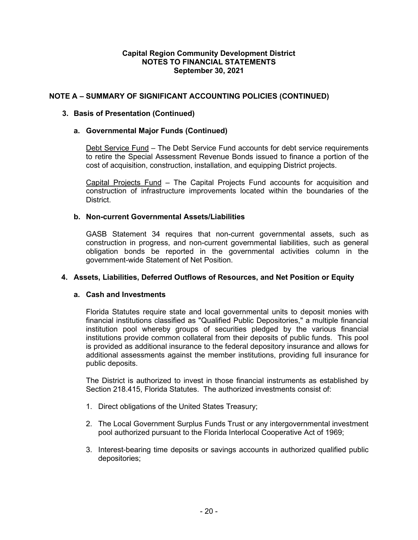# **NOTE A – SUMMARY OF SIGNIFICANT ACCOUNTING POLICIES (CONTINUED)**

# **3. Basis of Presentation (Continued)**

## **a. Governmental Major Funds (Continued)**

Debt Service Fund – The Debt Service Fund accounts for debt service requirements to retire the Special Assessment Revenue Bonds issued to finance a portion of the cost of acquisition, construction, installation, and equipping District projects.

Capital Projects Fund – The Capital Projects Fund accounts for acquisition and construction of infrastructure improvements located within the boundaries of the District.

## **b. Non-current Governmental Assets/Liabilities**

GASB Statement 34 requires that non-current governmental assets, such as construction in progress, and non-current governmental liabilities, such as general obligation bonds be reported in the governmental activities column in the government-wide Statement of Net Position.

# **4. Assets, Liabilities, Deferred Outflows of Resources, and Net Position or Equity**

#### **a. Cash and Investments**

Florida Statutes require state and local governmental units to deposit monies with financial institutions classified as "Qualified Public Depositories," a multiple financial institution pool whereby groups of securities pledged by the various financial institutions provide common collateral from their deposits of public funds. This pool is provided as additional insurance to the federal depository insurance and allows for additional assessments against the member institutions, providing full insurance for public deposits.

The District is authorized to invest in those financial instruments as established by Section 218.415, Florida Statutes. The authorized investments consist of:

- 1. Direct obligations of the United States Treasury;
- 2. The Local Government Surplus Funds Trust or any intergovernmental investment pool authorized pursuant to the Florida Interlocal Cooperative Act of 1969;
- 3. Interest-bearing time deposits or savings accounts in authorized qualified public depositories;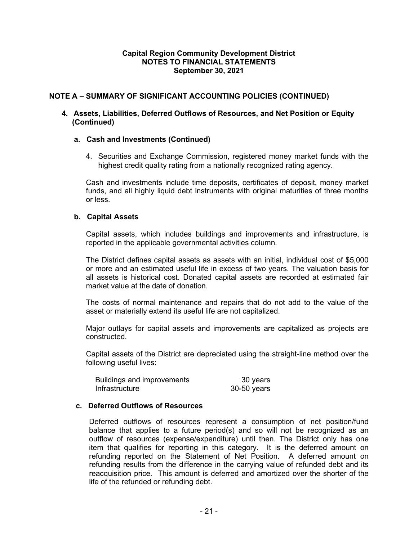# **NOTE A – SUMMARY OF SIGNIFICANT ACCOUNTING POLICIES (CONTINUED)**

# **4. Assets, Liabilities, Deferred Outflows of Resources, and Net Position or Equity (Continued)**

# **a. Cash and Investments (Continued)**

4. Securities and Exchange Commission, registered money market funds with the highest credit quality rating from a nationally recognized rating agency.

Cash and investments include time deposits, certificates of deposit, money market funds, and all highly liquid debt instruments with original maturities of three months or less.

## **b. Capital Assets**

Capital assets, which includes buildings and improvements and infrastructure, is reported in the applicable governmental activities column.

The District defines capital assets as assets with an initial, individual cost of \$5,000 or more and an estimated useful life in excess of two years. The valuation basis for all assets is historical cost. Donated capital assets are recorded at estimated fair market value at the date of donation.

The costs of normal maintenance and repairs that do not add to the value of the asset or materially extend its useful life are not capitalized.

Major outlays for capital assets and improvements are capitalized as projects are constructed.

Capital assets of the District are depreciated using the straight-line method over the following useful lives:

| Buildings and improvements | 30 years    |
|----------------------------|-------------|
| Infrastructure             | 30-50 years |

# **c. Deferred Outflows of Resources**

Deferred outflows of resources represent a consumption of net position/fund balance that applies to a future period(s) and so will not be recognized as an outflow of resources (expense/expenditure) until then. The District only has one item that qualifies for reporting in this category. It is the deferred amount on refunding reported on the Statement of Net Position. A deferred amount on refunding results from the difference in the carrying value of refunded debt and its reacquisition price. This amount is deferred and amortized over the shorter of the life of the refunded or refunding debt.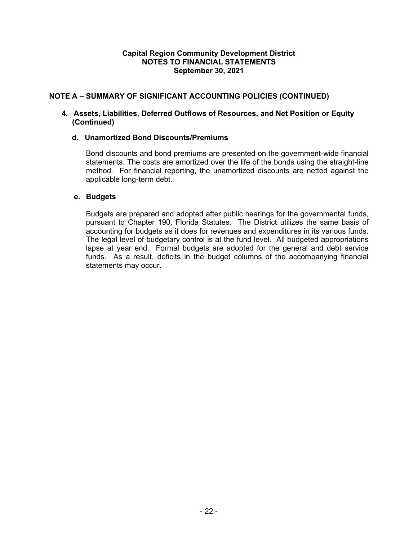# **NOTE A – SUMMARY OF SIGNIFICANT ACCOUNTING POLICIES (CONTINUED)**

# **4. Assets, Liabilities, Deferred Outflows of Resources, and Net Position or Equity (Continued)**

# **d. Unamortized Bond Discounts/Premiums**

Bond discounts and bond premiums are presented on the government-wide financial statements. The costs are amortized over the life of the bonds using the straight-line method. For financial reporting, the unamortized discounts are netted against the applicable long-term debt.

## **e. Budgets**

Budgets are prepared and adopted after public hearings for the governmental funds, pursuant to Chapter 190, Florida Statutes. The District utilizes the same basis of accounting for budgets as it does for revenues and expenditures in its various funds. The legal level of budgetary control is at the fund level. All budgeted appropriations lapse at year end. Formal budgets are adopted for the general and debt service funds. As a result, deficits in the budget columns of the accompanying financial statements may occur.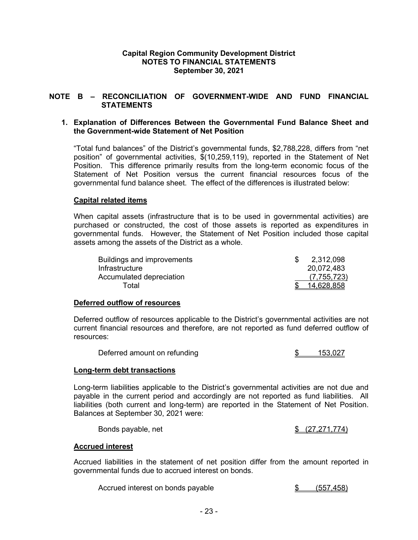## **NOTE B – RECONCILIATION OF GOVERNMENT-WIDE AND FUND FINANCIAL STATEMENTS**

### **1. Explanation of Differences Between the Governmental Fund Balance Sheet and the Government-wide Statement of Net Position**

"Total fund balances" of the District's governmental funds, \$2,788,228, differs from "net position" of governmental activities, \$(10,259,119), reported in the Statement of Net Position. This difference primarily results from the long-term economic focus of the Statement of Net Position versus the current financial resources focus of the governmental fund balance sheet. The effect of the differences is illustrated below:

#### **Capital related items**

When capital assets (infrastructure that is to be used in governmental activities) are purchased or constructed, the cost of those assets is reported as expenditures in governmental funds. However, the Statement of Net Position included those capital assets among the assets of the District as a whole.

| Buildings and improvements | 2,312,098    |
|----------------------------|--------------|
| Infrastructure             | 20,072,483   |
| Accumulated depreciation   | (7,755,723)  |
| Total                      | \$14,628,858 |

#### **Deferred outflow of resources**

Deferred outflow of resources applicable to the District's governmental activities are not current financial resources and therefore, are not reported as fund deferred outflow of resources:

Deferred amount on refunding metal with the state of the state of the state of the state of the state of the state of the state of the state of the state of the state of the state of the state of the state of the state of

#### **Long-term debt transactions**

Long-term liabilities applicable to the District's governmental activities are not due and payable in the current period and accordingly are not reported as fund liabilities. All liabilities (both current and long-term) are reported in the Statement of Net Position. Balances at September 30, 2021 were:

Bonds payable, net  $$ (27,271,774)$ 

#### **Accrued interest**

Accrued liabilities in the statement of net position differ from the amount reported in governmental funds due to accrued interest on bonds.

Accrued interest on bonds payable  $\frac{1}{2}$   $\frac{1}{2}$   $\frac{5}{2}$  (557,458)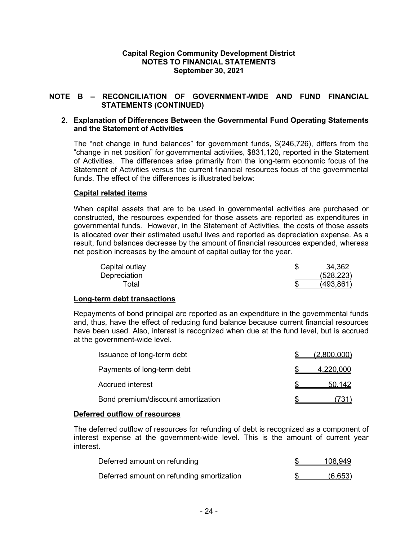# **NOTE B – RECONCILIATION OF GOVERNMENT-WIDE AND FUND FINANCIAL STATEMENTS (CONTINUED)**

# **2. Explanation of Differences Between the Governmental Fund Operating Statements and the Statement of Activities**

The "net change in fund balances" for government funds, \$(246,726), differs from the "change in net position" for governmental activities, \$831,120, reported in the Statement of Activities. The differences arise primarily from the long-term economic focus of the Statement of Activities versus the current financial resources focus of the governmental funds. The effect of the differences is illustrated below:

# **Capital related items**

When capital assets that are to be used in governmental activities are purchased or constructed, the resources expended for those assets are reported as expenditures in governmental funds. However, in the Statement of Activities, the costs of those assets is allocated over their estimated useful lives and reported as depreciation expense. As a result, fund balances decrease by the amount of financial resources expended, whereas net position increases by the amount of capital outlay for the year.

| Capital outlay | 34,362     |
|----------------|------------|
| Depreciation   | (528, 223) |
| Total          | (493, 861) |

#### **Long-term debt transactions**

Repayments of bond principal are reported as an expenditure in the governmental funds and, thus, have the effect of reducing fund balance because current financial resources have been used. Also, interest is recognized when due at the fund level, but is accrued at the government-wide level.

| Issuance of long-term debt         | (2,800,000) |
|------------------------------------|-------------|
| Payments of long-term debt         | 4.220.000   |
| Accrued interest                   | 50.142      |
| Bond premium/discount amortization |             |

#### **Deferred outflow of resources**

The deferred outflow of resources for refunding of debt is recognized as a component of interest expense at the government-wide level. This is the amount of current year interest.

| Deferred amount on refunding              | <u> 108,949</u> |
|-------------------------------------------|-----------------|
| Deferred amount on refunding amortization | (6,653)         |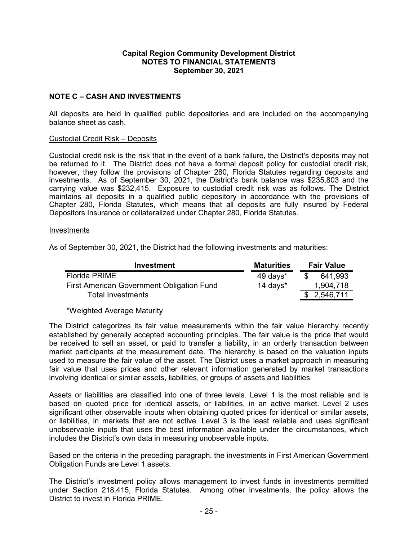# **NOTE C – CASH AND INVESTMENTS**

All deposits are held in qualified public depositories and are included on the accompanying balance sheet as cash.

#### Custodial Credit Risk – Deposits

Custodial credit risk is the risk that in the event of a bank failure, the District's deposits may not be returned to it. The District does not have a formal deposit policy for custodial credit risk, however, they follow the provisions of Chapter 280, Florida Statutes regarding deposits and investments. As of September 30, 2021, the District's bank balance was \$235,803 and the carrying value was \$232,415. Exposure to custodial credit risk was as follows. The District maintains all deposits in a qualified public depository in accordance with the provisions of Chapter 280, Florida Statutes, which means that all deposits are fully insured by Federal Depositors Insurance or collateralized under Chapter 280, Florida Statutes.

#### Investments

As of September 30, 2021, the District had the following investments and maturities:

| <b>Investment</b>                         | <b>Maturities</b> | <b>Fair Value</b> |
|-------------------------------------------|-------------------|-------------------|
| <b>Florida PRIME</b>                      | 49 days*          | 641,993           |
| First American Government Obligation Fund | 14 days $*$       | 1,904,718         |
| Total Investments                         |                   | \$2,546,711       |

#### \*Weighted Average Maturity

The District categorizes its fair value measurements within the fair value hierarchy recently established by generally accepted accounting principles. The fair value is the price that would be received to sell an asset, or paid to transfer a liability, in an orderly transaction between market participants at the measurement date. The hierarchy is based on the valuation inputs used to measure the fair value of the asset. The District uses a market approach in measuring fair value that uses prices and other relevant information generated by market transactions involving identical or similar assets, liabilities, or groups of assets and liabilities.

Assets or liabilities are classified into one of three levels. Level 1 is the most reliable and is based on quoted price for identical assets, or liabilities, in an active market. Level 2 uses significant other observable inputs when obtaining quoted prices for identical or similar assets, or liabilities, in markets that are not active. Level 3 is the least reliable and uses significant unobservable inputs that uses the best information available under the circumstances, which includes the District's own data in measuring unobservable inputs.

Based on the criteria in the preceding paragraph, the investments in First American Government Obligation Funds are Level 1 assets.

The District's investment policy allows management to invest funds in investments permitted under Section 218.415, Florida Statutes. Among other investments, the policy allows the District to invest in Florida PRIME.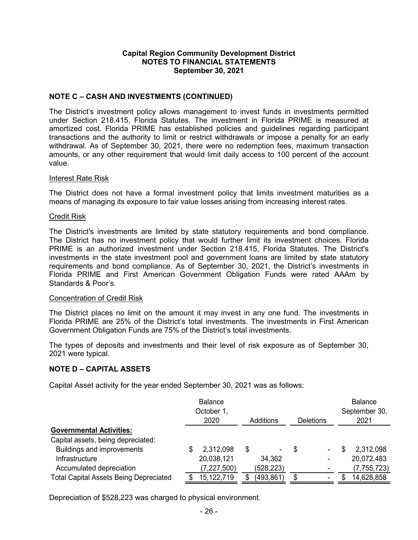## **NOTE C – CASH AND INVESTMENTS (CONTINUED)**

The District's investment policy allows management to invest funds in investments permitted under Section 218.415, Florida Statutes. The investment in Florida PRIME is measured at amortized cost. Florida PRIME has established policies and guidelines regarding participant transactions and the authority to limit or restrict withdrawals or impose a penalty for an early withdrawal. As of September 30, 2021, there were no redemption fees, maximum transaction amounts, or any other requirement that would limit daily access to 100 percent of the account value.

#### Interest Rate Risk

The District does not have a formal investment policy that limits investment maturities as a means of managing its exposure to fair value losses arising from increasing interest rates.

#### Credit Risk

The District's investments are limited by state statutory requirements and bond compliance. The District has no investment policy that would further limit its investment choices. Florida PRIME is an authorized investment under Section 218.415, Florida Statutes. The District's investments in the state investment pool and government loans are limited by state statutory requirements and bond compliance. As of September 30, 2021, the District's investments in Florida PRIME and First American Government Obligation Funds were rated AAAm by Standards & Poor's.

#### Concentration of Credit Risk

The District places no limit on the amount it may invest in any one fund. The investments in Florida PRIME are 25% of the District's total investments. The investments in First American Government Obligation Funds are 75% of the District's total investments.

The types of deposits and investments and their level of risk exposure as of September 30, 2021 were typical.

#### **NOTE D – CAPITAL ASSETS**

Capital Asset activity for the year ended September 30, 2021 was as follows:

|                                               |   | <b>Balance</b><br>October 1,<br>2020 | Additions  |    | <b>Deletions</b> |   | <b>Balance</b><br>September 30,<br>2021 |
|-----------------------------------------------|---|--------------------------------------|------------|----|------------------|---|-----------------------------------------|
| <b>Governmental Activities:</b>               |   |                                      |            |    |                  |   |                                         |
| Capital assets, being depreciated:            |   |                                      |            |    |                  |   |                                         |
| Buildings and improvements                    | S | 2,312,098                            | \$<br>۰    | S  | ۰                | S | 2,312,098                               |
| Infrastructure                                |   | 20,038,121                           | 34,362     |    |                  |   | 20,072,483                              |
| Accumulated depreciation                      |   | (7, 227, 500)                        | (528, 223) |    |                  |   | (7, 755, 723)                           |
| <b>Total Capital Assets Being Depreciated</b> |   | 15,122,719                           | (493, 861) | \$ |                  |   | 14,628,858                              |

Depreciation of \$528,223 was charged to physical environment.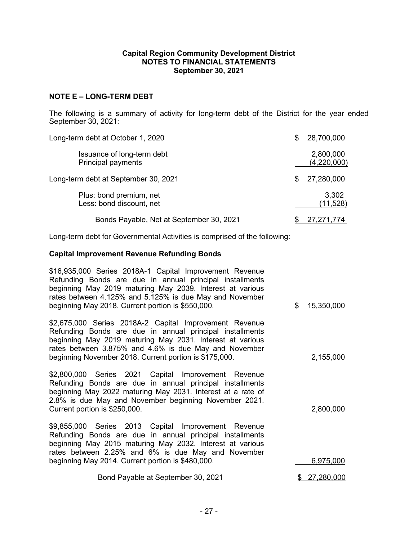## **NOTE E – LONG-TERM DEBT**

The following is a summary of activity for long-term debt of the District for the year ended September 30, 2021:

| Long-term debt at October 1, 2020                   |     | 28,700,000               |
|-----------------------------------------------------|-----|--------------------------|
| Issuance of long-term debt<br>Principal payments    |     | 2,800,000<br>(4,220,000) |
| Long-term debt at September 30, 2021                | \$. | 27,280,000               |
| Plus: bond premium, net<br>Less: bond discount, net |     | 3,302<br>(11,528)        |
| Bonds Payable, Net at September 30, 2021            |     |                          |

Long-term debt for Governmental Activities is comprised of the following:

## **Capital Improvement Revenue Refunding Bonds**

| \$16,935,000 Series 2018A-1 Capital Improvement Revenue<br>Refunding Bonds are due in annual principal installments<br>beginning May 2019 maturing May 2039. Interest at various<br>rates between 4.125% and 5.125% is due May and November<br>beginning May 2018. Current portion is \$550,000.   | \$<br>15,350,000 |
|----------------------------------------------------------------------------------------------------------------------------------------------------------------------------------------------------------------------------------------------------------------------------------------------------|------------------|
| \$2,675,000 Series 2018A-2 Capital Improvement Revenue<br>Refunding Bonds are due in annual principal installments<br>beginning May 2019 maturing May 2031. Interest at various<br>rates between 3.875% and 4.6% is due May and November<br>beginning November 2018. Current portion is \$175,000. | 2,155,000        |
| \$2,800,000 Series 2021 Capital Improvement Revenue<br>Refunding Bonds are due in annual principal installments<br>beginning May 2022 maturing May 2031. Interest at a rate of<br>2.8% is due May and November beginning November 2021.<br>Current portion is \$250,000.                           | 2,800,000        |
| \$9,855,000 Series 2013 Capital Improvement Revenue<br>Refunding Bonds are due in annual principal installments<br>beginning May 2015 maturing May 2032. Interest at various<br>rates between 2.25% and 6% is due May and November                                                                 |                  |
| beginning May 2014. Current portion is \$480,000.                                                                                                                                                                                                                                                  | 6,975,000        |
| Bond Payable at September 30, 2021                                                                                                                                                                                                                                                                 | 27,280,000       |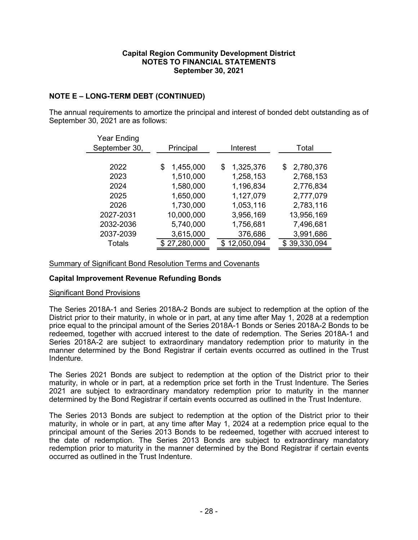# **NOTE E – LONG-TERM DEBT (CONTINUED)**

The annual requirements to amortize the principal and interest of bonded debt outstanding as of September 30, 2021 are as follows:

| <b>Year Ending</b> |                 |                |                 |
|--------------------|-----------------|----------------|-----------------|
| September 30,      | Principal       | Interest       | Total           |
|                    |                 |                |                 |
| 2022               | 1,455,000<br>\$ | 1,325,376<br>S | 2,780,376<br>\$ |
| 2023               | 1,510,000       | 1,258,153      | 2,768,153       |
| 2024               | 1,580,000       | 1,196,834      | 2,776,834       |
| 2025               | 1,650,000       | 1,127,079      | 2,777,079       |
| 2026               | 1,730,000       | 1,053,116      | 2,783,116       |
| 2027-2031          | 10,000,000      | 3,956,169      | 13,956,169      |
| 2032-2036          | 5,740,000       | 1,756,681      | 7,496,681       |
| 2037-2039          | 3,615,000       | 376,686        | 3,991,686       |
| Totals             | \$27,280,000    | \$12,050,094   | \$39,330,094    |

## Summary of Significant Bond Resolution Terms and Covenants

# **Capital Improvement Revenue Refunding Bonds**

#### Significant Bond Provisions

The Series 2018A-1 and Series 2018A-2 Bonds are subject to redemption at the option of the District prior to their maturity, in whole or in part, at any time after May 1, 2028 at a redemption price equal to the principal amount of the Series 2018A-1 Bonds or Series 2018A-2 Bonds to be redeemed, together with accrued interest to the date of redemption. The Series 2018A-1 and Series 2018A-2 are subject to extraordinary mandatory redemption prior to maturity in the manner determined by the Bond Registrar if certain events occurred as outlined in the Trust Indenture.

The Series 2021 Bonds are subject to redemption at the option of the District prior to their maturity, in whole or in part, at a redemption price set forth in the Trust Indenture. The Series 2021 are subject to extraordinary mandatory redemption prior to maturity in the manner determined by the Bond Registrar if certain events occurred as outlined in the Trust Indenture.

The Series 2013 Bonds are subject to redemption at the option of the District prior to their maturity, in whole or in part, at any time after May 1, 2024 at a redemption price equal to the principal amount of the Series 2013 Bonds to be redeemed, together with accrued interest to the date of redemption. The Series 2013 Bonds are subject to extraordinary mandatory redemption prior to maturity in the manner determined by the Bond Registrar if certain events occurred as outlined in the Trust Indenture.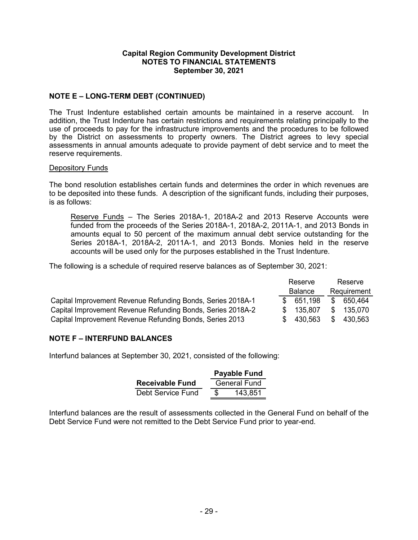# **NOTE E – LONG-TERM DEBT (CONTINUED)**

The Trust Indenture established certain amounts be maintained in a reserve account. In addition, the Trust Indenture has certain restrictions and requirements relating principally to the use of proceeds to pay for the infrastructure improvements and the procedures to be followed by the District on assessments to property owners. The District agrees to levy special assessments in annual amounts adequate to provide payment of debt service and to meet the reserve requirements.

#### Depository Funds

The bond resolution establishes certain funds and determines the order in which revenues are to be deposited into these funds. A description of the significant funds, including their purposes, is as follows:

Reserve Funds - The Series 2018A-1, 2018A-2 and 2013 Reserve Accounts were funded from the proceeds of the Series 2018A-1, 2018A-2, 2011A-1, and 2013 Bonds in amounts equal to 50 percent of the maximum annual debt service outstanding for the Series 2018A-1, 2018A-2, 2011A-1, and 2013 Bonds. Monies held in the reserve accounts will be used only for the purposes established in the Trust Indenture.

The following is a schedule of required reserve balances as of September 30, 2021:

|                                                             |               | Reserve        |     | Reserve     |
|-------------------------------------------------------------|---------------|----------------|-----|-------------|
|                                                             |               | <b>Balance</b> |     | Requirement |
| Capital Improvement Revenue Refunding Bonds, Series 2018A-1 | $\mathcal{S}$ | 651.198        | S.  | 650.464     |
| Capital Improvement Revenue Refunding Bonds, Series 2018A-2 | $\mathcal{S}$ | 135.807        | \$. | 135.070     |
| Capital Improvement Revenue Refunding Bonds, Series 2013    | \$.           | 430.563        | \$. | 430.563     |

# **NOTE F – INTERFUND BALANCES**

Interfund balances at September 30, 2021, consisted of the following:

|                        | <b>Payable Fund</b> |              |  |
|------------------------|---------------------|--------------|--|
| <b>Receivable Fund</b> |                     | General Fund |  |
| Debt Service Fund      | S                   | 143.851      |  |

Interfund balances are the result of assessments collected in the General Fund on behalf of the Debt Service Fund were not remitted to the Debt Service Fund prior to year-end.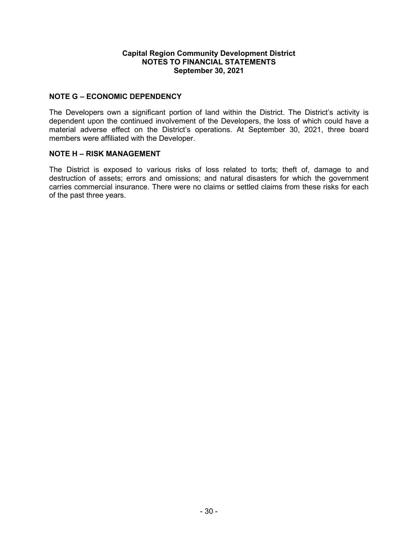# **NOTE G – ECONOMIC DEPENDENCY**

The Developers own a significant portion of land within the District. The District's activity is dependent upon the continued involvement of the Developers, the loss of which could have a material adverse effect on the District's operations. At September 30, 2021, three board members were affiliated with the Developer.

### **NOTE H – RISK MANAGEMENT**

The District is exposed to various risks of loss related to torts; theft of, damage to and destruction of assets; errors and omissions; and natural disasters for which the government carries commercial insurance. There were no claims or settled claims from these risks for each of the past three years.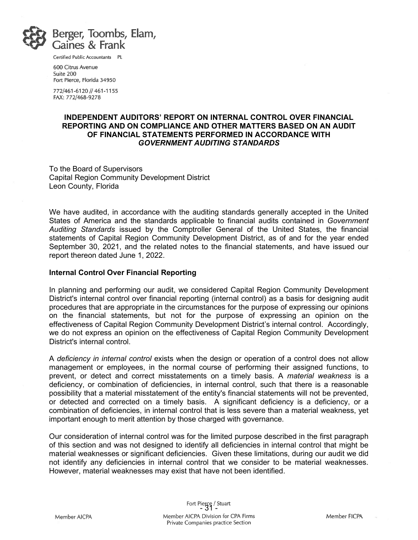

Certified Public Accountants PL

600 Citrus Avenue Suite 200 Fort Pierce, Florida 34950

772/461-6120 // 461-1155 FAX: 772/468-9278

#### **INDEPENDENT AUDITORS' REPORT ON INTERNAL CONTROL OVER FINANCIAL REPORTING AND ON COMPLIANCE AND OTHER MATTERS BASED ON AN AUDIT OF FINANCIAL STATEMENTS PERFORMED IN ACCORDANCE WITH** *GOVERNMENT AUDITING STANDARDS*

To the Board of Supervisors Capital Region Community Development District Leon County, Florida

We have audited, in accordance with the auditing standards generally accepted in the United States of America and the standards applicable to financial audits contained in *Government Auditing Standards* issued by the Comptroller General of the United States, the financial statements of Capital Region Community Development District, as of and for the year ended September 30, 2021, and the related notes to the financial statements, and have issued our report thereon dated June 1, 2022.

#### **Internal Control Over Financial Reporting**

In planning and performing our audit, we considered Capital Region Community Development District's internal control over financial reporting (internal control) as a basis for designing audit procedures that are appropriate in the circumstances for the purpose of expressing our opinions on the financial statements, but not for the purpose of expressing an opinion on the effectiveness of Capital Region Community Development District's internal control. Accordingly, we do not express an opinion on the effectiveness of Capital Region Community Development District's internal control.

A *deficiency in internal control* exists when the design or operation of a control does not allow management or employees, in the normal course of performing their assigned functions, to prevent, or detect and correct misstatements on a timely basis. A *material weakness* is a deficiency, or combination of deficiencies, in internal control, such that there is a reasonable possibility that a material misstatement of the entity's financial statements will not be prevented, or detected and corrected on a timely basis. A significant deficiency is a deficiency, or a combination of deficiencies, in internal control that is less severe than a material weakness, yet important enough to merit attention by those charged with governance.

Our consideration of internal control was for the limited purpose described in the first paragraph of this section and was not designed to identify all deficiencies in internal control that might be material weaknesses or significant deficiencies. Given these limitations, during our audit we did not identify any deficiencies in internal control that we consider to be material weaknesses. However, material weaknesses may exist that have not been identified.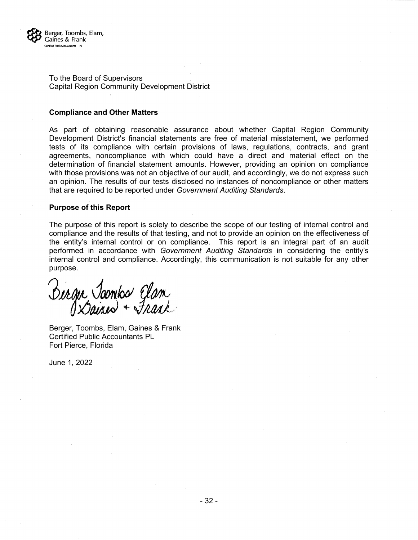

To the Board of Supervisors Capital Region Community Development District

#### **Compliance and Other Matters**

As part of obtaining reasonable assurance about whether Capital Region Community Development District's financial statements are free of material misstatement, we performed tests of its compliance with certain provisions of laws, regulations, contracts, and grant agreements, noncompliance with which could have a direct and material effect on the determination of financial statement amounts. However, providing an opinion on compliance with those provisions was not an objective of our audit, and accordingly, we do not express such an opinion. The results of our tests disclosed no instances of noncompliance or other matters that are required to be reported under *Government Auditing Standards*.

#### **Purpose of this Report**

The purpose of this report is solely to describe the scope of our testing of internal control and compliance and the results of that testing, and not to provide an opinion on the effectiveness of the entity's internal control or on compliance. This report is an integral part of an audit performed in accordance with *Government Auditing Standards* in considering the entity's internal control and compliance. Accordingly, this communication is not suitable for any other purpose.

Birgir Jambo Glam

Berger, Toombs, Elam, Gaines & Frank Certified Public Accountants PL Fort Pierce, Florida

June 1, 2022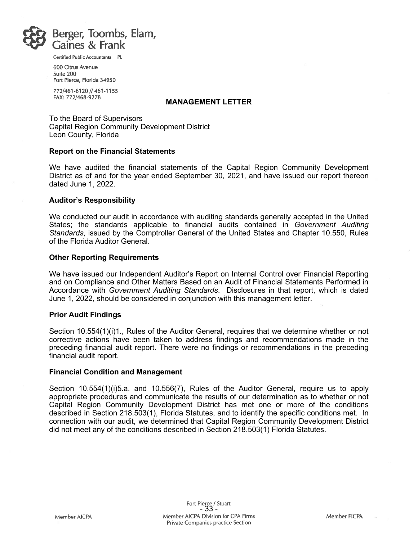

Certified Public Accountants PL

600 Citrus Avenue Suite 200 Fort Pierce, Florida 34950

772/461-6120 // 461-1155 FAX: 772/468-9278

#### **MANAGEMENT LETTER**

To the Board of Supervisors Capital Region Community Development District Leon County, Florida

#### **Report on the Financial Statements**

We have audited the financial statements of the Capital Region Community Development District as of and for the year ended September 30, 2021, and have issued our report thereon dated June 1, 2022.

#### **Auditor's Responsibility**

We conducted our audit in accordance with auditing standards generally accepted in the United States; the standards applicable to financial audits contained in *Government Auditing Standards*, issued by the Comptroller General of the United States and Chapter 10.550, Rules of the Florida Auditor General.

#### **Other Reporting Requirements**

We have issued our Independent Auditor's Report on Internal Control over Financial Reporting and on Compliance and Other Matters Based on an Audit of Financial Statements Performed in Accordance with *Government Auditing Standards*. Disclosures in that report, which is dated June 1, 2022, should be considered in conjunction with this management letter.

#### **Prior Audit Findings**

Section 10.554(1)(i)1., Rules of the Auditor General, requires that we determine whether or not corrective actions have been taken to address findings and recommendations made in the preceding financial audit report. There were no findings or recommendations in the preceding financial audit report.

#### **Financial Condition and Management**

Section 10.554(1)(i)5.a. and 10.556(7), Rules of the Auditor General, require us to apply appropriate procedures and communicate the results of our determination as to whether or not Capital Region Community Development District has met one or more of the conditions described in Section 218.503(1), Florida Statutes, and to identify the specific conditions met. In connection with our audit, we determined that Capital Region Community Development District did not meet any of the conditions described in Section 218.503(1) Florida Statutes.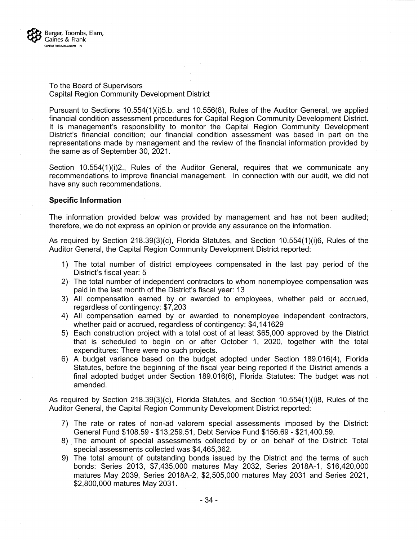

To the Board of Supervisors Capital Region Community Development District

Pursuant to Sections 10.554(1)(i)5.b. and 10.556(8), Rules of the Auditor General, we applied financial condition assessment procedures for Capital Region Community Development District. It is management's responsibility to monitor the Capital Region Community Development District's financial condition; our financial condition assessment was based in part on the representations made by management and the review of the financial information provided by the same as of September 30, 2021.

Section 10.554(1)(i)2., Rules of the Auditor General, requires that we communicate any recommendations to improve financial management. In connection with our audit, we did not have any such recommendations.

#### **Specific Information**

The information provided below was provided by management and has not been audited; therefore, we do not express an opinion or provide any assurance on the information.

As required by Section 218.39(3)(c), Florida Statutes, and Section 10.554(1)(i)6, Rules of the Auditor General, the Capital Region Community Development District reported:

- 1) The total number of district employees compensated in the last pay period of the District's fiscal year: 5
- 2) The total number of independent contractors to whom nonemployee compensation was paid in the last month of the District's fiscal year: 13
- 3) All compensation earned by or awarded to employees, whether paid or accrued, regardless of contingency: \$7,203
- 4) All compensation earned by or awarded to nonemployee independent contractors, whether paid or accrued, regardless of contingency: \$4,141629
- 5) Each construction project with a total cost of at least \$65,000 approved by the District that is scheduled to begin on or after October 1, 2020, together with the total expenditures: There were no such projects.
- 6) A budget variance based on the budget adopted under Section 189.016(4), Florida Statutes, before the beginning of the fiscal year being reported if the District amends a final adopted budget under Section 189.016(6), Florida Statutes: The budget was not amended.

As required by Section 218.39(3)(c), Florida Statutes, and Section 10.554(1)(i)8, Rules of the Auditor General, the Capital Region Community Development District reported:

- 7) The rate or rates of non-ad valorem special assessments imposed by the District: General Fund \$108.59 - \$13,259.51, Debt Service Fund \$156.69 - \$21,400.59.
- 8) The amount of special assessments collected by or on behalf of the District: Total special assessments collected was \$4,465,362.
- 9) The total amount of outstanding bonds issued by the District and the terms of such bonds: Series 2013, \$7,435,000 matures May 2032, Series 2018A-1, \$16,420,000 matures May 2039, Series 2018A-2, \$2,505,000 matures May 2031 and Series 2021, \$2,800,000 matures May 2031.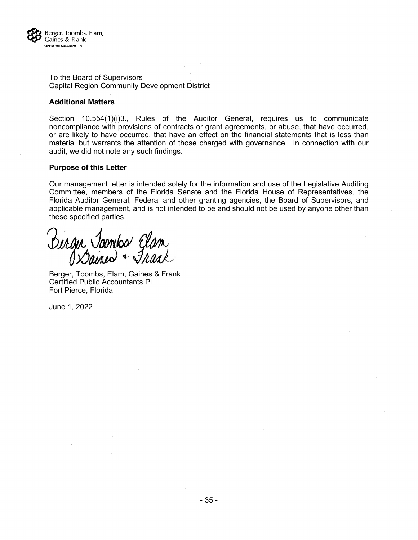

To the Board of Supervisors Capital Region Community Development District

#### **Additional Matters**

Section 10.554(1)(i)3., Rules of the Auditor General, requires us to communicate noncompliance with provisions of contracts or grant agreements, or abuse, that have occurred, or are likely to have occurred, that have an effect on the financial statements that is less than material but warrants the attention of those charged with governance. In connection with our audit, we did not note any such findings.

#### **Purpose of this Letter**

Our management letter is intended solely for the information and use of the Legislative Auditing Committee, members of the Florida Senate and the Florida House of Representatives, the Florida Auditor General, Federal and other granting agencies, the Board of Supervisors, and applicable management, and is not intended to be and should not be used by anyone other than these specified parties.

Birgir Joenks Elam

Berger, Toombs, Elam, Gaines & Frank Certified Public Accountants PL Fort Pierce, Florida

June 1, 2022